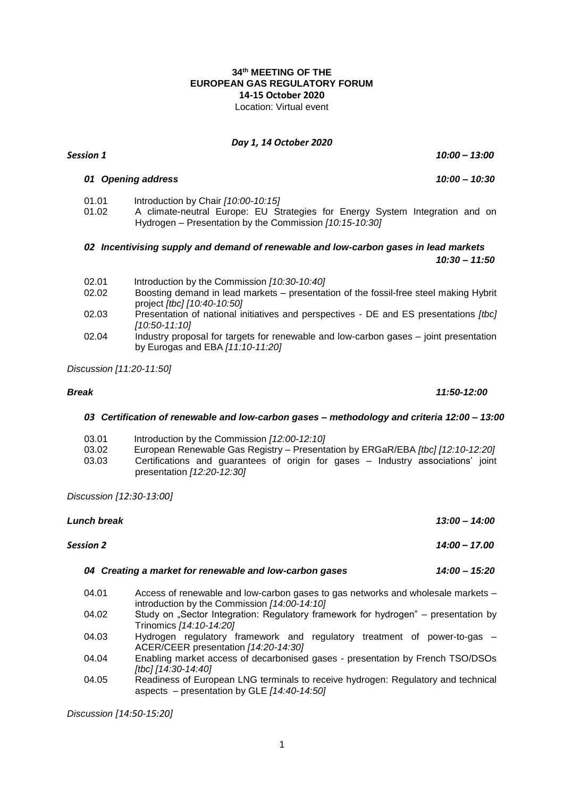## **34th MEETING OF THE EUROPEAN GAS REGULATORY FORUM 14-15 October 2020** Location: Virtual event

#### *Day 1, 14 October 2020*

*Session 1 10:00 – 13:00*

#### *01 Opening address 10:00 – 10:30*

- 01.01 Introduction by Chair *[10:00-10:15]*
	- A climate-neutral Europe: EU Strategies for Energy System Integration and on Hydrogen – Presentation by the Commission *[10:15-10:30]*

## *02 Incentivising supply and demand of renewable and low-carbon gases in lead markets 10:30 – 11:50*

- 02.01 Introduction by the Commission *[10:30-10:40]*
- 02.02 Boosting demand in lead markets presentation of the fossil-free steel making Hybrit project *[tbc] [10:40-10:50]*
- 02.03 Presentation of national initiatives and perspectives DE and ES presentations *[tbc] [10:50-11:10]*
- 02.04 Industry proposal for targets for renewable and low-carbon gases joint presentation by Eurogas and EBA *[11:10-11:20]*

*Discussion [11:20-11:50]*

# *03 Certification of renewable and low-carbon gases – methodology and criteria 12:00 – 13:00*

- 03.01 Introduction by the Commission *[12:00-12:10]*
- 03.02 European Renewable Gas Registry Presentation by ERGaR/EBA *[tbc] [12:10-12:20]*
- Certifications and guarantees of origin for gases Industry associations' joint presentation *[12:20-12:30]*

*Discussion [12:30-13:00]*

| Lunch break |           | $13:00 - 14:00$                                                                                                                    |  |
|-------------|-----------|------------------------------------------------------------------------------------------------------------------------------------|--|
|             | Session 2 | $14:00 - 17.00$                                                                                                                    |  |
|             |           | 04 Creating a market for renewable and low-carbon gases<br>$14:00 - 15:20$                                                         |  |
|             | 04.01     | Access of renewable and low-carbon gases to gas networks and wholesale markets -<br>introduction by the Commission [14:00-14:10]   |  |
|             | 04.02     | Study on "Sector Integration: Regulatory framework for hydrogen" – presentation by<br>Trinomics [14:10-14:20]                      |  |
|             | 04.03     | Hydrogen regulatory framework and regulatory treatment of power-to-gas –<br>ACER/CEER presentation [14:20-14:30]                   |  |
|             | 04.04     | Enabling market access of decarbonised gases - presentation by French TSO/DSOs<br>[tbc] [14:30-14:40]                              |  |
|             | 04.05     | Readiness of European LNG terminals to receive hydrogen: Regulatory and technical<br>aspects – presentation by GLE $[14:40-14:50]$ |  |
|             |           |                                                                                                                                    |  |

*Discussion [14:50-15:20]*

*Break 11:50-12:00*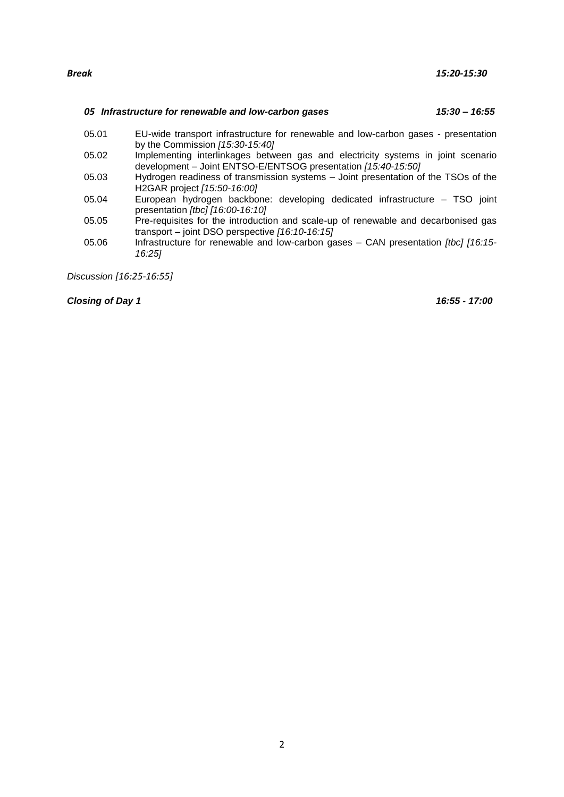#### *05 Infrastructure for renewable and low-carbon gases 15:30 – 16:55*

- 
- 05.01 EU-wide transport infrastructure for renewable and low-carbon gases presentation by the Commission *[15:30-15:40]*
- 05.02 Implementing interlinkages between gas and electricity systems in joint scenario development – Joint ENTSO-E/ENTSOG presentation *[15:40-15:50]*
- 05.03 Hydrogen readiness of transmission systems Joint presentation of the TSOs of the H2GAR project *[15:50-16:00]*
- 05.04 European hydrogen backbone: developing dedicated infrastructure TSO joint presentation *[tbc] [16:00-16:10]*
- 05.05 Pre-requisites for the introduction and scale-up of renewable and decarbonised gas transport – joint DSO perspective *[16:10-16:15]*
- 05.06 Infrastructure for renewable and low-carbon gases CAN presentation *[tbc] [16:15- 16:25]*

*Discussion [16:25-16:55]*

*Closing of Day 1 16:55 - 17:00*